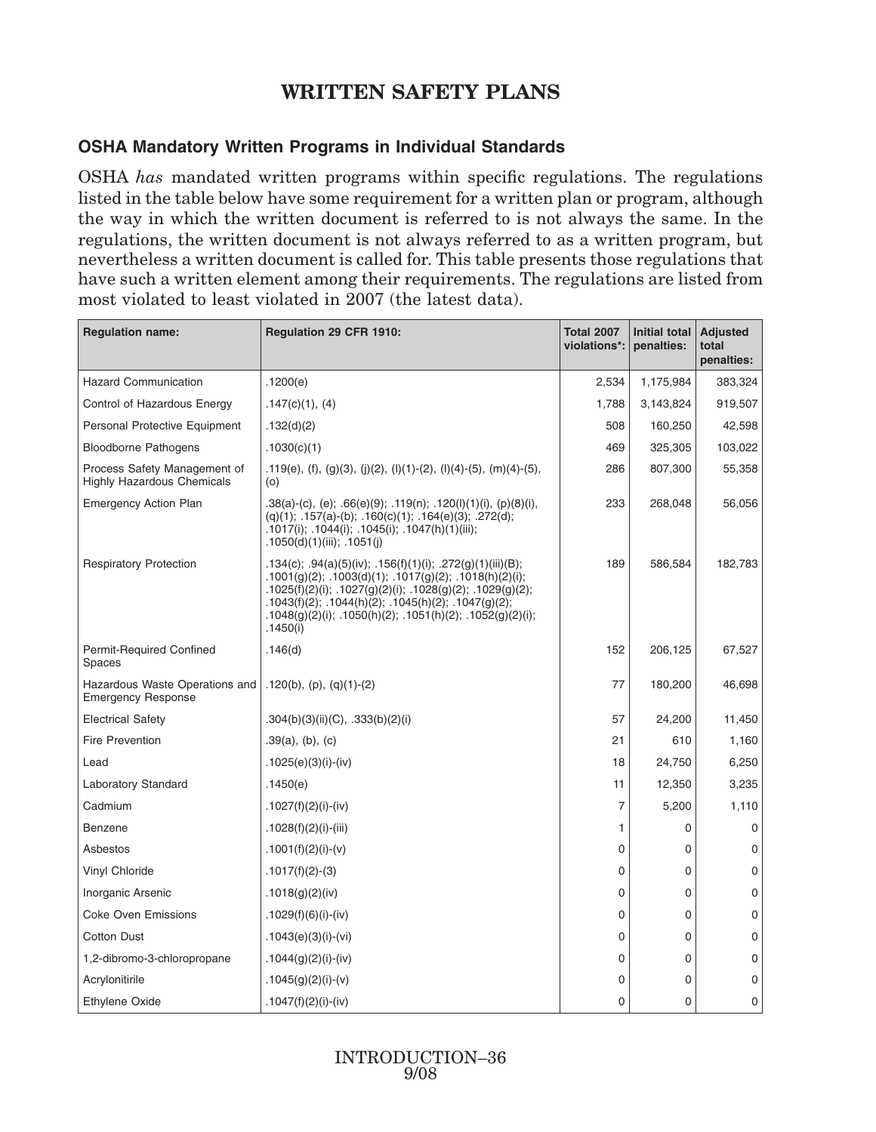## **WRITTEN SAFETY PLANS**

## **OSHA Mandatory Written Programs in Individual Standards**

OSHA *has* mandated written programs within specific regulations. The regulations listed in the table below have some requirement for a written plan or program, although the way in which the written document is referred to is not always the same. In the regulations, the written document is not always referred to as a written program, but nevertheless a written document is called for. This table presents those regulations that have such a written element among their requirements. The regulations are listed from most violated to least violated in 2007 (the latest data).

| <b>Regulation name:</b>                                           | Regulation 29 CFR 1910:                                                                                                                                                                                                                                                                                           | <b>Total 2007</b><br>violations*: | <b>Initial total</b><br>penalties: | <b>Adjusted</b><br>total<br>penalties: |
|-------------------------------------------------------------------|-------------------------------------------------------------------------------------------------------------------------------------------------------------------------------------------------------------------------------------------------------------------------------------------------------------------|-----------------------------------|------------------------------------|----------------------------------------|
| <b>Hazard Communication</b>                                       | .1200(e)                                                                                                                                                                                                                                                                                                          | 2,534                             | 1,175,984                          | 383,324                                |
| Control of Hazardous Energy                                       | .147(c)(1), (4)                                                                                                                                                                                                                                                                                                   | 1,788                             | 3,143,824                          | 919,507                                |
| Personal Protective Equipment                                     | .132(d)(2)                                                                                                                                                                                                                                                                                                        | 508                               | 160,250                            | 42,598                                 |
| <b>Bloodborne Pathogens</b>                                       | .1030(c)(1)                                                                                                                                                                                                                                                                                                       | 469                               | 325,305                            | 103,022                                |
| Process Safety Management of<br><b>Highly Hazardous Chemicals</b> | .119(e), (f), (g)(3), (j)(2), (l)(1)-(2), (l)(4)-(5), (m)(4)-(5),<br>(0)                                                                                                                                                                                                                                          | 286                               | 807,300                            | 55,358                                 |
| <b>Emergency Action Plan</b>                                      | .38(a)-(c), (e); .66(e)(9); .119(n); .120(l)(1)(i), (p)(8)(i),<br>$(q)(1); 157(a)-(b); 160(c)(1); 164(e)(3); 272(d);$<br>.1017(i); .1044(i); .1045(i); .1047(h)(1)(iii);<br>.1050(d)(1)(iii); .1051(j)                                                                                                            | 233                               | 268,048                            | 56,056                                 |
| <b>Respiratory Protection</b>                                     | .134(c); .94(a)(5)(iv); .156(f)(1)(i); .272(g)(1)(iii)(B);<br>.1001(g)(2); .1003(d)(1); .1017(g)(2); .1018(h)(2)(i);<br>.1025(f)(2)(i); .1027(g)(2)(i); .1028(g)(2); .1029(g)(2);<br>.1043(f)(2); .1044(h)(2); .1045(h)(2); .1047(g)(2);<br>.1048(g)(2)(i); .1050(h)(2); .1051(h)(2); .1052(g)(2)(i);<br>.1450(i) | 189                               | 586,584                            | 182,783                                |
| Permit-Required Confined<br><b>Spaces</b>                         | .146(d)                                                                                                                                                                                                                                                                                                           | 152                               | 206,125                            | 67,527                                 |
| Hazardous Waste Operations and<br><b>Emergency Response</b>       | $.120(b)$ , (p), (q)(1)-(2)                                                                                                                                                                                                                                                                                       | 77                                | 180,200                            | 46,698                                 |
| <b>Electrical Safety</b>                                          | .304(b)(3)(ii)(C), .333(b)(2)(i)                                                                                                                                                                                                                                                                                  | 57                                | 24,200                             | 11,450                                 |
| <b>Fire Prevention</b>                                            | $.39(a)$ , (b), (c)                                                                                                                                                                                                                                                                                               | 21                                | 610                                | 1,160                                  |
| Lead                                                              | .1025(e)(3)(i)-(iv)                                                                                                                                                                                                                                                                                               | 18                                | 24,750                             | 6,250                                  |
| Laboratory Standard                                               | .1450(e)                                                                                                                                                                                                                                                                                                          | 11                                | 12,350                             | 3,235                                  |
| Cadmium                                                           | .1027(f)(2)(i)-(iv)                                                                                                                                                                                                                                                                                               | $\overline{7}$                    | 5,200                              | 1,110                                  |
| Benzene                                                           | $.1028(f)(2)(i)$ -(iii)                                                                                                                                                                                                                                                                                           | 1                                 | $\mathbf 0$                        | 0                                      |
| Asbestos                                                          | .1001(f)(2)(i)-(v)                                                                                                                                                                                                                                                                                                | $\mathbf 0$                       | 0                                  | 0                                      |
| Vinyl Chloride                                                    | $.1017(f)(2)-(3)$                                                                                                                                                                                                                                                                                                 | $\mathbf 0$                       | 0                                  | 0                                      |
| Inorganic Arsenic                                                 | .1018(g)(2)(iv)                                                                                                                                                                                                                                                                                                   | $\mathbf 0$                       | $\mathbf 0$                        | $\mathbf 0$                            |
| <b>Coke Oven Emissions</b>                                        | $.1029(f)(6)(i)-(iv)$                                                                                                                                                                                                                                                                                             | $\mathbf 0$                       | $\mathbf 0$                        | 0                                      |
| <b>Cotton Dust</b>                                                | .1043(e)(3)(i)-(vi)                                                                                                                                                                                                                                                                                               | $\mathbf 0$                       | $\mathbf 0$                        | 0                                      |
| 1,2-dibromo-3-chloropropane                                       | .1044(g)(2)(i)-(iv)                                                                                                                                                                                                                                                                                               | $\mathbf 0$                       | $\mathbf 0$                        | $\mathbf 0$                            |
| Acrylonitirile                                                    | .1045(g)(2)(i)-(v)                                                                                                                                                                                                                                                                                                | $\mathbf 0$                       | $\mathbf 0$                        | 0                                      |
| Ethylene Oxide                                                    | .1047(f)(2)(i)-(iv)                                                                                                                                                                                                                                                                                               | $\mathbf 0$                       | 0                                  | 0                                      |